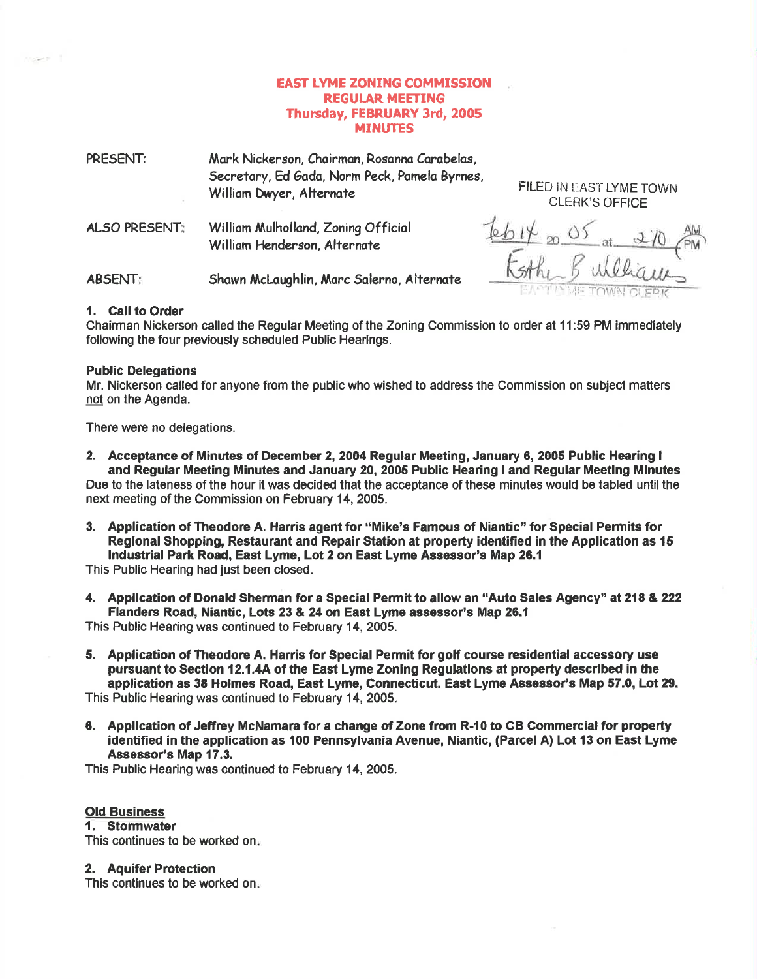# EAST LYME ZONING COMMISSION REGUIAR MEETING Thursday, FEBRUARY 3rd, 2005 MINUTES

| PRESENT:             | Mark Nickerson, Chairman, Rosanna Carabelas,<br>Secretary, Ed Gada, Norm Peck, Pamela Byrnes,<br>William Dwyer, Alternate |  |
|----------------------|---------------------------------------------------------------------------------------------------------------------------|--|
| <b>ALSO PRESENT:</b> | William Mulholland, Zoning Official<br>William Henderson, Alternate                                                       |  |
| <b>ABSENT:</b>       | Shawn McLaughlin, Marc Salerno, Alternate                                                                                 |  |

CLERK'S OFFICE

IN CLER

FILED IN EAST LYME TOWN

1. Call to Order

Chairman Nickerson called the Regular Meeting of the Zoning Commission to order at 11:59 PM immediately following the four previously scheduled Public Hearings.

### Public Delegations

Mr. Nickerson called for anyone from the public who wished to address the Commission on subject matters not on the Agenda.

There were no delegations.

2. Acceptance of Minutes of December 2, 2004 Regular Meeting, January 6, 2005 Public Hearing I and Regular Meeting Minutes and January 20, 2005 Public Hearing I and Regular Meeting Minutes

Due to the lateness of the hour it was decided that the acceptance of these minutes would be tabled until the next meeting of the Commission on February 14, 2005.

3. Application of Theodore A. Harris agent for "Mike's Famous of Niantic" for Special Permits for Regional Shopping, Restaurant and Repair Station at property identified in the Application as 15 lndustrial Park Road, East Lyme, Lot 2 on East Lyme Assessor's Map 26.1

This Public Hearing had just been closed.

4. Application of Donald Sherman for a Special Permit to allow an "Auto Sales Agency" at 218 & <sup>222</sup> Flanders Road, Niantic, Lots 23 & 24 on East Lyme assessor's Map 25.{

This Public Hearing was continued to February 14,2005.

- 5. Application of Theodore A. Harris for Special Permit for golf course residential accessory use pursuant to Section 12.1.4A of the East Lyme Zoning Regulations at property described in the application as 38 Holmes Road, East Lyme, Connecticut. East Lyme Assessor's Map 57.0, Lot 29. This Public Hearing was continued to February 14, 2005.
- 6. Application of Jeffrey McNamara for a change of Zone from R-10 to CB Commercial for propefi identified in the application as 100 Pennsylvania Avenue, Niantic, (Parcel A) Lot 13 on East Lyme Assessor's Map 17.3,

This Public Hearing was oontinued to February 14, 2005.

## Old Business

## 1. Stormwater

This continues to be worked on

#### 2. Aquifer Protection

This continues to be worked on